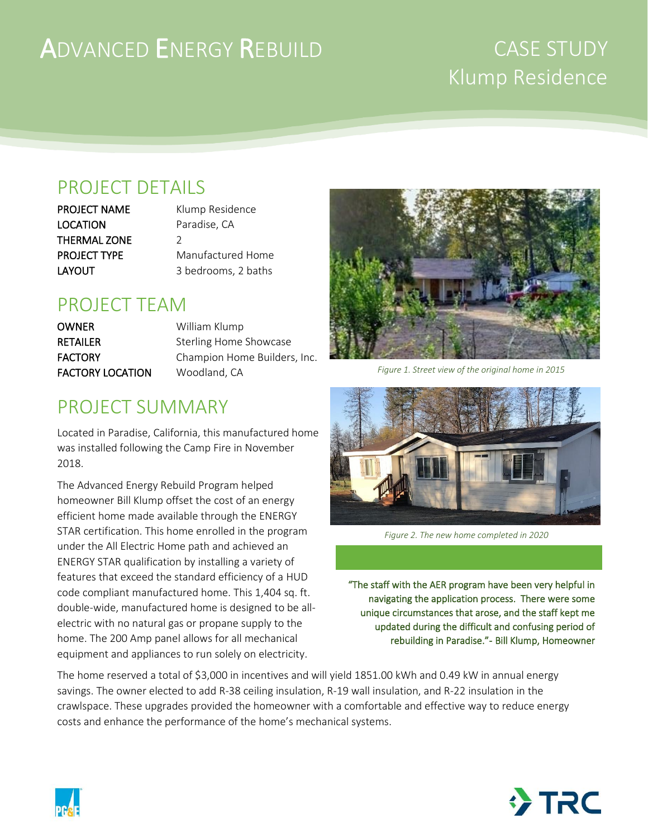# ADVANCED ENERGY REBUILD

## CASE STUDY Klump Residence

#### PROJECT DETAILS

LOCATION Paradise, CA THERMAL ZONE 2

PROJECT NAME Klump Residence PROJECT TYPE Manufactured Home LAYOUT 3 bedrooms, 2 baths

#### PROJECT TEAM

OWNER William Klump RETAILER Sterling Home Showcase FACTORY Champion Home Builders, Inc. FACTORY LOCATION Woodland, CA

#### PROJECT SUMMARY

Located in Paradise, California, this manufactured home was installed following the Camp Fire in November 2018.

The Advanced Energy Rebuild Program helped homeowner Bill Klump offset the cost of an energy efficient home made available through the ENERGY STAR certification. This home enrolled in the program under the All Electric Home path and achieved an ENERGY STAR qualification by installing a variety of features that exceed the standard efficiency of a HUD code compliant manufactured home. This 1,404 sq. ft. double-wide, manufactured home is designed to be allelectric with no natural gas or propane supply to the home. The 200 Amp panel allows for all mechanical equipment and appliances to run solely on electricity.



*Figure 1. Street view of the original home in 2015*



*Figure 2. The new home completed in 2020*

"The staff with the AER program have been very helpful in navigating the application process. There were some unique circumstances that arose, and the staff kept me updated during the difficult and confusing period of rebuilding in Paradise."- Bill Klump, Homeowner

The home reserved a total of \$3,000 in incentives and will yield 1851.00 kWh and 0.49 kW in annual energy savings. The owner elected to add R-38 ceiling insulation, R-19 wall insulation, and R-22 insulation in the crawlspace. These upgrades provided the homeowner with a comfortable and effective way to reduce energy costs and enhance the performance of the home's mechanical systems.



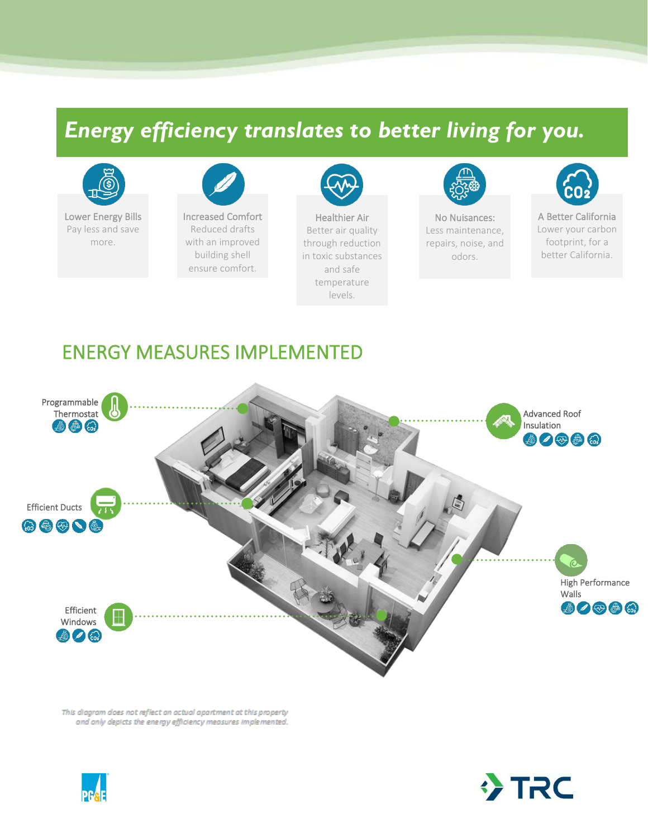## *Energy efficiency translates to better living for you.*



Lower Energy Bills Pay less and save more.



ensure comfort.



Healthier Air Better air quality through reduction in toxic substances and safe temperature levels.



No Nuisances: Less maintenance, repairs, noise, and odors.



A Better California Lower your carbon footprint, for a better California.

#### ENERGY MEASURES IMPLEMENTED



This diagram does not reflect an actual apartment at this property and only depicts the energy efficiency measures implemented.